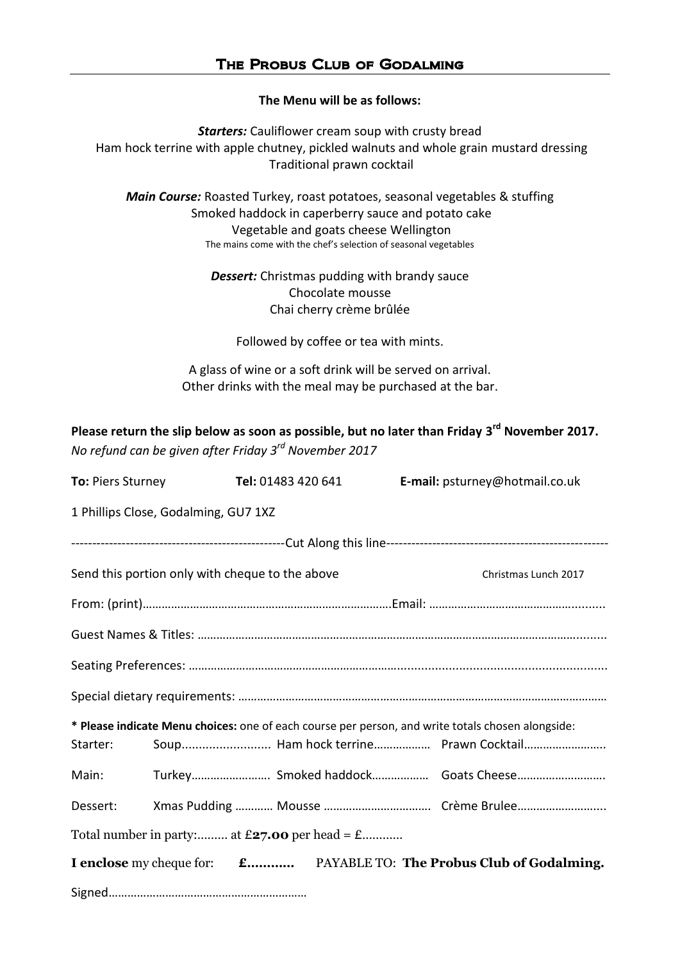**The Menu will be as follows:**

*Starters:* Cauliflower cream soup with crusty bread Ham hock terrine with apple chutney, pickled walnuts and whole grain mustard dressing Traditional prawn cocktail

*Main Course:* Roasted Turkey, roast potatoes, seasonal vegetables & stuffing Smoked haddock in caperberry sauce and potato cake Vegetable and goats cheese Wellington The mains come with the chef's selection of seasonal vegetables

> *Dessert:* Christmas pudding with brandy sauce Chocolate mousse Chai cherry crème brûlée

Followed by coffee or tea with mints.

A glass of wine or a soft drink will be served on arrival. Other drinks with the meal may be purchased at the bar.

**Please return the slip below as soon as possible, but no later than Friday 3 rd November 2017.** *No refund can be given after Friday 3 rd November 2017*

| <b>To: Piers Sturney</b>                                                                          |  | Tel: 01483 420 641 |  | E-mail: psturney@hotmail.co.uk |                                      |
|---------------------------------------------------------------------------------------------------|--|--------------------|--|--------------------------------|--------------------------------------|
| 1 Phillips Close, Godalming, GU7 1XZ                                                              |  |                    |  |                                |                                      |
|                                                                                                   |  |                    |  |                                |                                      |
| Send this portion only with cheque to the above                                                   |  |                    |  |                                | Christmas Lunch 2017                 |
|                                                                                                   |  |                    |  |                                |                                      |
|                                                                                                   |  |                    |  |                                |                                      |
|                                                                                                   |  |                    |  |                                |                                      |
|                                                                                                   |  |                    |  |                                |                                      |
| * Please indicate Menu choices: one of each course per person, and write totals chosen alongside: |  |                    |  |                                |                                      |
| Starter:                                                                                          |  |                    |  |                                | Soup Ham hock terrine Prawn Cocktail |
| Main:                                                                                             |  |                    |  |                                | Turkey Smoked haddock Goats Cheese   |
| Dessert:                                                                                          |  |                    |  |                                |                                      |
| Total number in party: at $£27.00$ per head = £                                                   |  |                    |  |                                |                                      |
| I enclose my cheque for: <b>£</b> PAYABLE TO: The Probus Club of Godalming.                       |  |                    |  |                                |                                      |
|                                                                                                   |  |                    |  |                                |                                      |